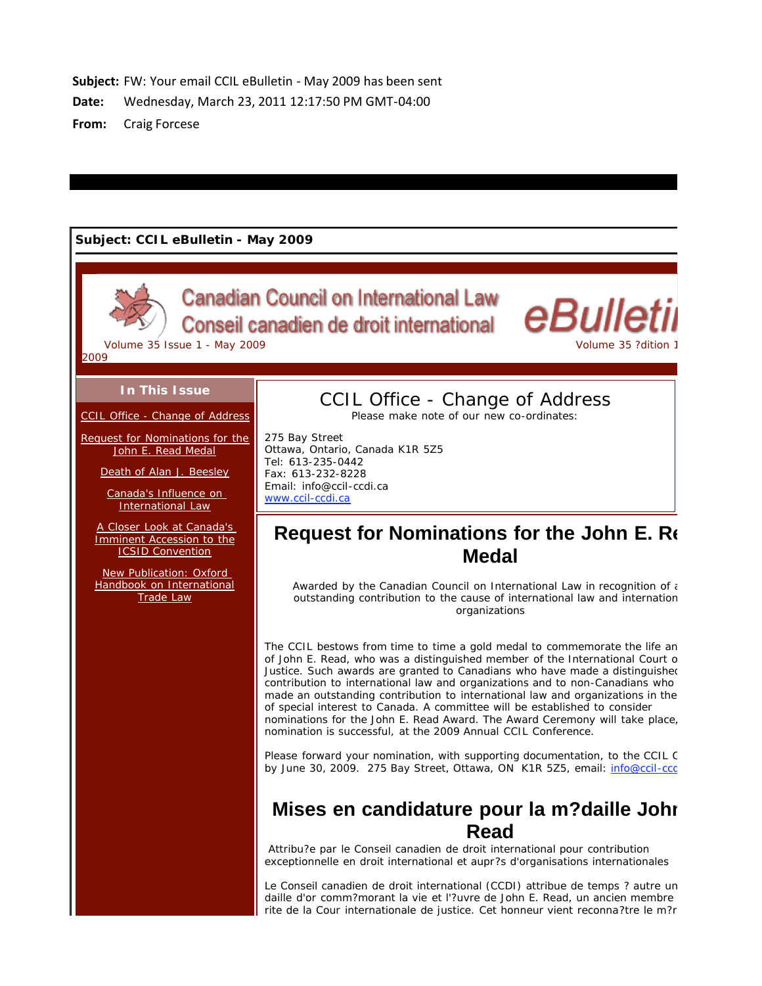Subject: FW: Your email CCIL eBulletin - May 2009 has been sent

Date: Wednesday, March 23, 2011 12:17:50 PM GMT-04:00

**- Craig Forcese** 

## **Subject: CCIL eBulletin - May 2009**



**Canadian Council on International Law** Conseil canadien de droit international



2009

### **In This Issue**

CCIL Office - Change of Address

Request for Nominations for the John E. Read Medal

Death of Alan J. Beesley

Canada's Influence on International Law

A Closer Look at Canada's Imminent Accession to the ICSID Convention

New Publication: Oxford Handbook on International Trade Law

# CCIL Office - Change of Address

Please make note of our new co-ordinates:

275 Bay Street Ottawa, Ontario, Canada K1R 5Z5 Tel: 613-235-0442 Fax: 613-232-8228 Email: info@ccil-ccdi.ca www.ccil-ccdi.ca

# **Request for Nominations for the John E. Re Medal**

*Awarded by the Canadian Council on International Law in recognition of a outstanding contribution to the cause of international law and internation organizations*

The CCIL bestows from time to time a gold medal to commemorate the life an of John E. Read, who was a distinguished member of the International Court o Justice. Such awards are granted to Canadians who have made a distinguished contribution to international law and organizations and to non-Canadians who made an outstanding contribution to international law and organizations in the of special interest to Canada. A committee will be established to consider nominations for the John E. Read Award. The Award Ceremony will take place, nomination is successful, at the 2009 Annual CCIL Conference.

Please forward your nomination, with supporting documentation, to the CCIL C by June 30, 2009. 275 Bay Street, Ottawa, ON K1R 5Z5, email: info@ccil-ccd

# **Mises en candidature pour la m?daille John Read**

*Attribu?e par le Conseil canadien de droit international pour contribution exceptionnelle en droit international et aupr?s d'organisations internationales*

Le Conseil canadien de droit international (CCDI) attribue de temps ? autre un daille d'or comm?morant la vie et l'?uvre de John E. Read, un ancien membre rite de la Cour internationale de justice. Cet honneur vient reconna?tre le m?r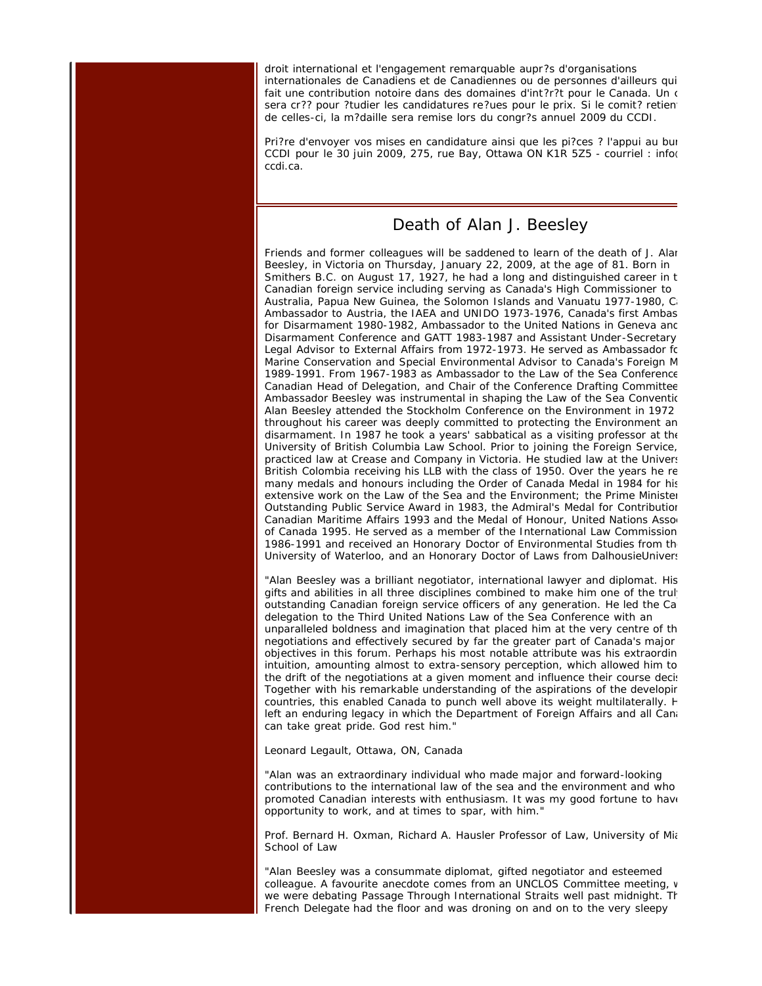droit international et l'engagement remarquable aupr?s d'organisations internationales de Canadiens et de Canadiennes ou de personnes d'ailleurs qui fait une contribution notoire dans des domaines d'int?r?t pour le Canada. Un c sera cr?? pour ?tudier les candidatures re?ues pour le prix. Si le comit? retient de celles-ci, la m?daille sera remise lors du congr?s annuel 2009 du CCDI.

Pri?re d'envoyer vos mises en candidature ainsi que les pi?ces ? l'appui au bur CCDI pour le 30 juin 2009, 275, rue Bay, Ottawa ON K1R 5Z5 - courriel : info( ccdi.ca.

## Death of Alan J. Beesley

Friends and former colleagues will be saddened to learn of the death of J. Alan Beesley, in Victoria on Thursday, January 22, 2009, at the age of 81. Born in Smithers B.C. on August 17, 1927, he had a long and distinguished career in t Canadian foreign service including serving as Canada's High Commissioner to Australia, Papua New Guinea, the Solomon Islands and Vanuatu 1977-1980, Ca Ambassador to Austria, the IAEA and UNIDO 1973-1976, Canada's first Ambas for Disarmament 1980-1982, Ambassador to the United Nations in Geneva and Disarmament Conference and GATT 1983-1987 and Assistant Under-Secretary Legal Advisor to External Affairs from 1972-1973. He served as Ambassador fo Marine Conservation and Special Environmental Advisor to Canada's Foreign M 1989-1991. From 1967-1983 as Ambassador to the Law of the Sea Conference Canadian Head of Delegation, and Chair of the Conference Drafting Committee Ambassador Beesley was instrumental in shaping the Law of the Sea Conventio Alan Beesley attended the Stockholm Conference on the Environment in 1972 throughout his career was deeply committed to protecting the Environment an disarmament. In 1987 he took a years' sabbatical as a visiting professor at the University of British Columbia Law School. Prior to joining the Foreign Service, practiced law at Crease and Company in Victoria. He studied law at the Univers British Colombia receiving his LLB with the class of 1950. Over the years he re many medals and honours including the Order of Canada Medal in 1984 for his extensive work on the Law of the Sea and the Environment; the Prime Minister Outstanding Public Service Award in 1983, the Admiral's Medal for Contribution Canadian Maritime Affairs 1993 and the Medal of Honour, United Nations Assod of Canada 1995. He served as a member of the International Law Commission 1986-1991 and received an Honorary Doctor of Environmental Studies from the University of Waterloo, and an Honorary Doctor of Laws from DalhousieUnivers

"Alan Beesley was a brilliant negotiator, international lawyer and diplomat. His gifts and abilities in all three disciplines combined to make him one of the truly outstanding Canadian foreign service officers of any generation. He led the Ca delegation to the Third United Nations Law of the Sea Conference with an unparalleled boldness and imagination that placed him at the very centre of th negotiations and effectively secured by far the greater part of Canada's major objectives in this forum. Perhaps his most notable attribute was his extraordin intuition, amounting almost to extra-sensory perception, which allowed him to the drift of the negotiations at a given moment and influence their course decis Together with his remarkable understanding of the aspirations of the developir countries, this enabled Canada to punch well above its weight multilaterally. H left an enduring legacy in which the Department of Foreign Affairs and all Cana can take great pride. God rest him."

Leonard Legault, Ottawa, ON, Canada

"Alan was an extraordinary individual who made major and forward-looking contributions to the international law of the sea and the environment and who promoted Canadian interests with enthusiasm. It was my good fortune to have opportunity to work, and at times to spar, with him."

Prof. Bernard H. Oxman, Richard A. Hausler Professor of Law, University of Mia School of Law

"Alan Beesley was a consummate diplomat, gifted negotiator and esteemed colleague. A favourite anecdote comes from an UNCLOS Committee meeting, w we were debating Passage Through International Straits well past midnight. Th French Delegate had the floor and was droning on and on to the very sleepy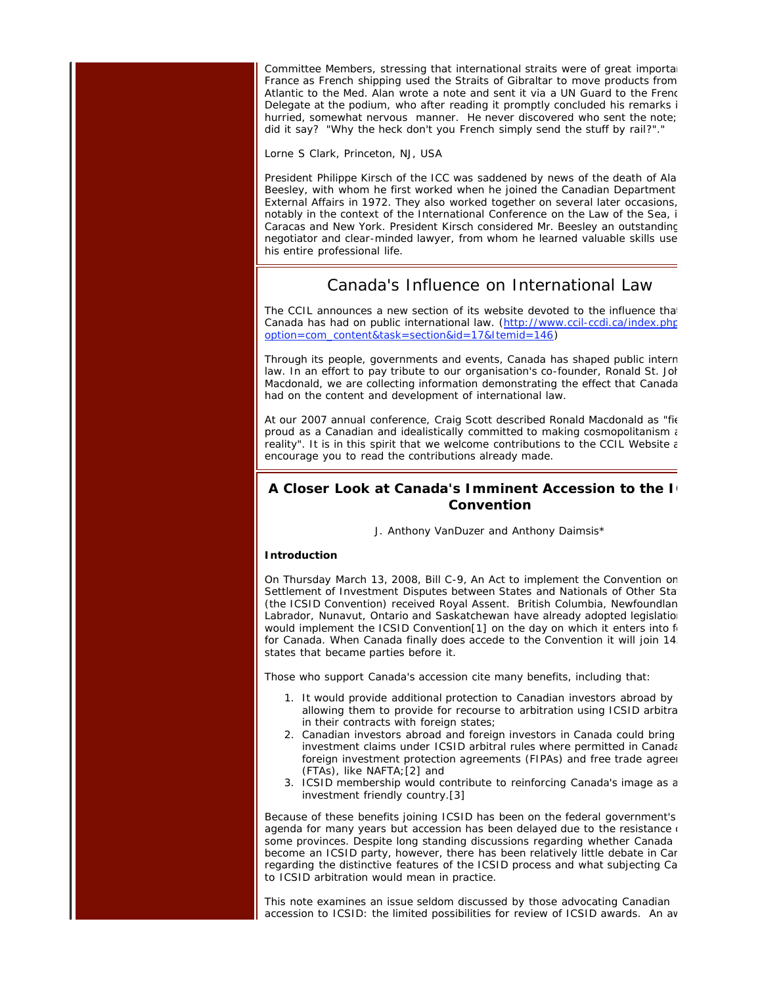Committee Members, stressing that international straits were of great importan France as French shipping used the Straits of Gibraltar to move products from Atlantic to the Med. Alan wrote a note and sent it via a UN Guard to the Frenc Delegate at the podium, who after reading it promptly concluded his remarks i hurried, somewhat nervous manner. He never discovered who sent the note; did it say? "Why the heck don't you French simply send the stuff by rail?"."

Lorne S Clark, Princeton, NJ, USA

President Philippe Kirsch of the ICC was saddened by news of the death of Ala Beesley, with whom he first worked when he joined the Canadian Department External Affairs in 1972. They also worked together on several later occasions, notably in the context of the International Conference on the Law of the Sea, i Caracas and New York. President Kirsch considered Mr. Beesley an outstanding negotiator and clear-minded lawyer, from whom he learned valuable skills use his entire professional life.

## Canada's Influence on International Law

The CCIL announces a new section of its website devoted to the influence that Canada has had on public international law. (http://www.ccil-ccdi.ca/index.php option=com\_content&task=section&id=17&Itemid=146)

Through its people, governments and events, Canada has shaped public intern law. In an effort to pay tribute to our organisation's co-founder, Ronald St. Joh Macdonald, we are collecting information demonstrating the effect that Canada had on the content and development of international law.

At our 2007 annual conference, Craig Scott described Ronald Macdonald as "fie proud as a Canadian and idealistically committed to making cosmopolitanism a reality". It is in this spirit that we welcome contributions to the CCIL Website  $\varepsilon$ encourage you to read the contributions already made.

## **A Closer Look at Canada's Imminent Accession to the IC Convention**

J. Anthony VanDuzer and Anthony Daimsis\*

#### **Introduction**

On Thursday March 13, 2008, Bill C-9, An Act to implement the Convention on Settlement of Investment Disputes between States and Nationals of Other Stat (the ICSID Convention) received Royal Assent. British Columbia, Newfoundlan Labrador, Nunavut, Ontario and Saskatchewan have already adopted legislation would implement the ICSID Convention[1] on the day on which it enters into fo for Canada. When Canada finally does accede to the Convention it will join 143 states that became parties before it.

Those who support Canada's accession cite many benefits, including that:

- 1. It would provide additional protection to Canadian investors abroad by allowing them to provide for recourse to arbitration using ICSID arbitra in their contracts with foreign states;
- 2. Canadian investors abroad and foreign investors in Canada could bring investment claims under ICSID arbitral rules where permitted in Canada foreign investment protection agreements (FIPAs) and free trade agreen (FTAs), like NAFTA;[2] and
- 3. ICSID membership would contribute to reinforcing Canada's image as a investment friendly country.[3]

Because of these benefits joining ICSID has been on the federal government's agenda for many years but accession has been delayed due to the resistance  $\epsilon$ some provinces. Despite long standing discussions regarding whether Canada become an ICSID party, however, there has been relatively little debate in Can regarding the distinctive features of the ICSID process and what subjecting Ca to ICSID arbitration would mean in practice.

This note examines an issue seldom discussed by those advocating Canadian accession to ICSID: the limited possibilities for review of ICSID awards. An aw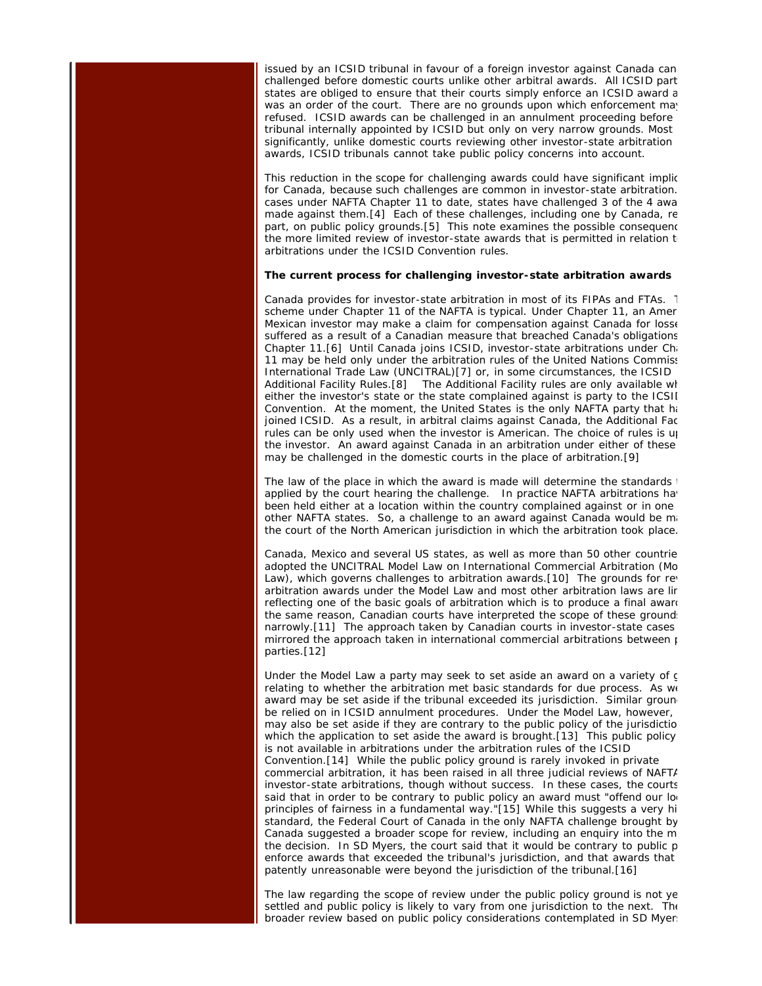issued by an ICSID tribunal in favour of a foreign investor against Canada can challenged before domestic courts unlike other arbitral awards. All ICSID part states are obliged to ensure that their courts simply enforce an ICSID award a was an order of the court. There are no grounds upon which enforcement may refused. ICSID awards can be challenged in an annulment proceeding before tribunal internally appointed by ICSID but only on very narrow grounds. Most significantly, unlike domestic courts reviewing other investor-state arbitration awards, ICSID tribunals cannot take public policy concerns into account.

This reduction in the scope for challenging awards could have significant implic for Canada, because such challenges are common in investor-state arbitration. cases under NAFTA Chapter 11 to date, states have challenged 3 of the 4 awa made against them.[4] Each of these challenges, including one by Canada, re part, on public policy grounds.[5] This note examines the possible consequenc the more limited review of investor-state awards that is permitted in relation  $t_0$ arbitrations under the ICSID Convention rules.

#### **The current process for challenging investor-state arbitration awards**

Canada provides for investor-state arbitration in most of its FIPAs and FTAs. T scheme under Chapter 11 of the NAFTA is typical. Under Chapter 11, an Amer Mexican investor may make a claim for compensation against Canada for losse suffered as a result of a Canadian measure that breached Canada's obligations Chapter 11.[6] Until Canada joins ICSID, investor-state arbitrations under Cha 11 may be held only under the arbitration rules of the United Nations Commiss International Trade Law (UNCITRAL)[7] or, in some circumstances, the ICSID Additional Facility Rules.[8] The Additional Facility rules are only available wh either the investor's state or the state complained against is party to the ICSII Convention. At the moment, the United States is the only NAFTA party that ha joined ICSID. As a result, in arbitral claims against Canada, the Additional Fac rules can be only used when the investor is American. The choice of rules is up the investor. An award against Canada in an arbitration under either of these may be challenged in the domestic courts in the place of arbitration.[9]

The law of the place in which the award is made will determine the standards  $\cdot$ applied by the court hearing the challenge. In practice NAFTA arbitrations hav been held either at a location within the country complained against or in one other NAFTA states. So, a challenge to an award against Canada would be ma the court of the North American jurisdiction in which the arbitration took place.

Canada, Mexico and several US states, as well as more than 50 other countrie adopted the UNCITRAL Model Law on International Commercial Arbitration (Mo Law), which governs challenges to arbitration awards.[10] The grounds for rev arbitration awards under the Model Law and most other arbitration laws are lir reflecting one of the basic goals of arbitration which is to produce a final award the same reason, Canadian courts have interpreted the scope of these ground: narrowly.[11] The approach taken by Canadian courts in investor-state cases mirrored the approach taken in international commercial arbitrations between  $\mu$ parties.[12]

Under the Model Law a party may seek to set aside an award on a variety of g relating to whether the arbitration met basic standards for due process. As we award may be set aside if the tribunal exceeded its jurisdiction. Similar ground be relied on in ICSID annulment procedures. Under the Model Law, however, may also be set aside if they are contrary to the public policy of the jurisdictio which the application to set aside the award is brought.[13] This public policy is not available in arbitrations under the arbitration rules of the ICSID Convention.[14] While the public policy ground is rarely invoked in private commercial arbitration, it has been raised in all three judicial reviews of NAFTA investor-state arbitrations, though without success. In these cases, the courts said that in order to be contrary to public policy an award must "offend our loo principles of fairness in a fundamental way."[15] While this suggests a very hi standard, the Federal Court of Canada in the only NAFTA challenge brought by Canada suggested a broader scope for review, including an enquiry into the m the decision. In SD Myers, the court said that it would be contrary to public p enforce awards that exceeded the tribunal's jurisdiction, and that awards that patently unreasonable were beyond the jurisdiction of the tribunal.[16]

The law regarding the scope of review under the public policy ground is not ye settled and public policy is likely to vary from one jurisdiction to the next. The broader review based on public policy considerations contemplated in SD Myers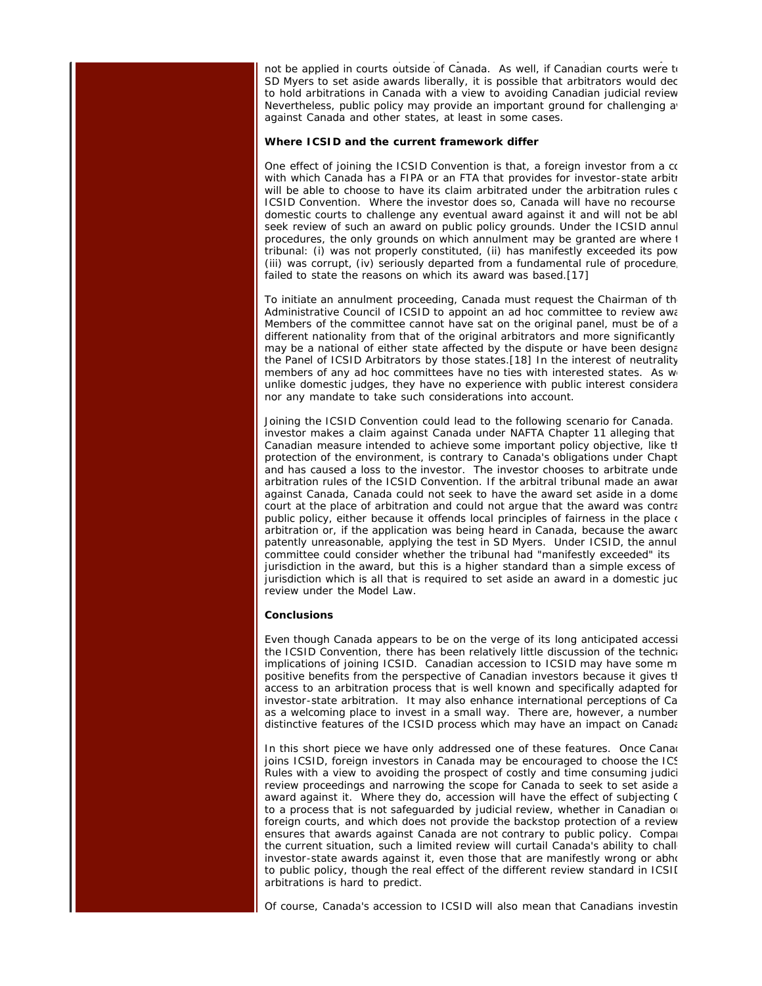not be applied in courts outside of Canada. As well, if Canadian courts were to SD Myers to set aside awards liberally, it is possible that arbitrators would dec to hold arbitrations in Canada with a view to avoiding Canadian judicial review Nevertheless, public policy may provide an important ground for challenging aver against Canada and other states, at least in some cases.

p py p y

#### **Where ICSID and the current framework differ**

One effect of joining the ICSID Convention is that, a foreign investor from a co with which Canada has a FIPA or an FTA that provides for investor-state arbitr will be able to choose to have its claim arbitrated under the arbitration rules c ICSID Convention. Where the investor does so, Canada will have no recourse domestic courts to challenge any eventual award against it and will not be abl seek review of such an award on public policy grounds. Under the ICSID annul procedures, the only grounds on which annulment may be granted are where t tribunal: (i) was not properly constituted, (ii) has manifestly exceeded its pow (iii) was corrupt, (iv) seriously departed from a fundamental rule of procedure, failed to state the reasons on which its award was based.[17]

To initiate an annulment proceeding, Canada must request the Chairman of the Administrative Council of ICSID to appoint an ad hoc committee to review awa Members of the committee cannot have sat on the original panel, must be of a different nationality from that of the original arbitrators and more significantly may be a national of either state affected by the dispute or have been designa the Panel of ICSID Arbitrators by those states.[18] In the interest of neutrality members of any ad hoc committees have no ties with interested states. As we unlike domestic judges, they have no experience with public interest considera nor any mandate to take such considerations into account.

Joining the ICSID Convention could lead to the following scenario for Canada. investor makes a claim against Canada under NAFTA Chapter 11 alleging that Canadian measure intended to achieve some important policy objective, like th protection of the environment, is contrary to Canada's obligations under Chapt and has caused a loss to the investor. The investor chooses to arbitrate unde arbitration rules of the ICSID Convention. If the arbitral tribunal made an awar against Canada, Canada could not seek to have the award set aside in a dome court at the place of arbitration and could not argue that the award was contra public policy, either because it offends local principles of fairness in the place of arbitration or, if the application was being heard in Canada, because the awarc patently unreasonable, applying the test in SD Myers. Under ICSID, the annul committee could consider whether the tribunal had "manifestly exceeded" its jurisdiction in the award, but this is a higher standard than a simple excess of jurisdiction which is all that is required to set aside an award in a domestic juc review under the Model Law.

#### **Conclusions**

Even though Canada appears to be on the verge of its long anticipated accessi the ICSID Convention, there has been relatively little discussion of the technica implications of joining ICSID. Canadian accession to ICSID may have some m positive benefits from the perspective of Canadian investors because it gives th access to an arbitration process that is well known and specifically adapted for investor-state arbitration. It may also enhance international perceptions of Ca as a welcoming place to invest in a small way. There are, however, a number distinctive features of the ICSID process which may have an impact on Canada

In this short piece we have only addressed one of these features. Once Canad joins ICSID, foreign investors in Canada may be encouraged to choose the ICS Rules with a view to avoiding the prospect of costly and time consuming judici review proceedings and narrowing the scope for Canada to seek to set aside a award against it. Where they do, accession will have the effect of subjecting C to a process that is not safeguarded by judicial review, whether in Canadian or foreign courts, and which does not provide the backstop protection of a review ensures that awards against Canada are not contrary to public policy. Compar the current situation, such a limited review will curtail Canada's ability to chall investor-state awards against it, even those that are manifestly wrong or abho to public policy, though the real effect of the different review standard in ICSII arbitrations is hard to predict.

Of course, Canada's accession to ICSID will also mean that Canadians investin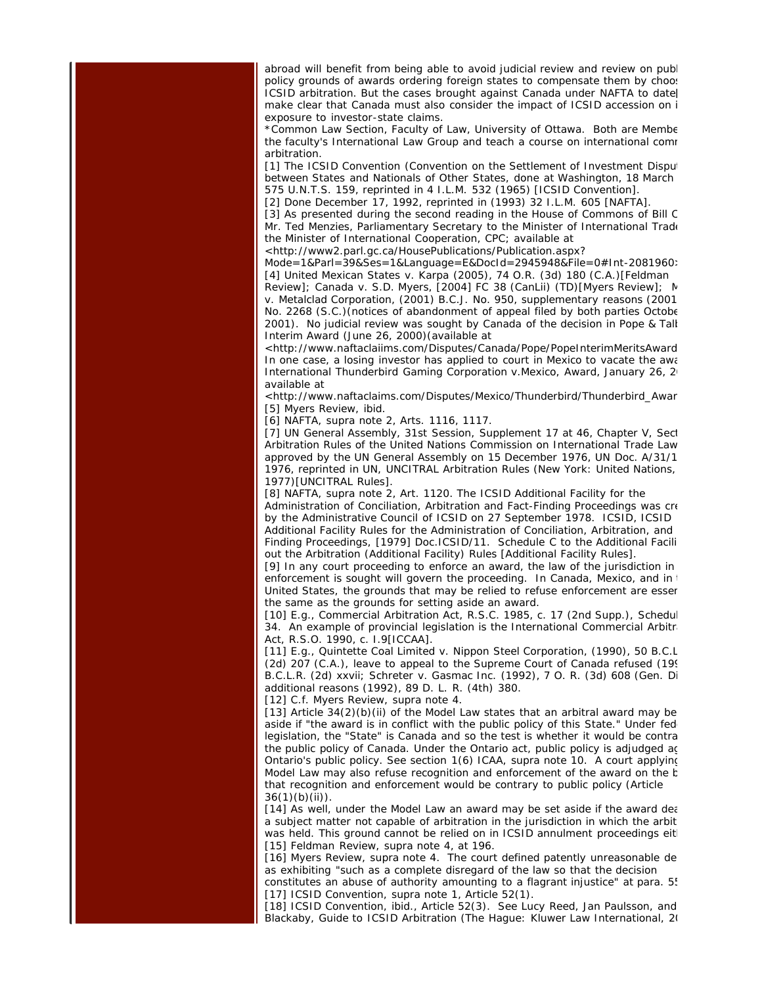abroad will benefit from being able to avoid judicial review and review on publ policy grounds of awards ordering foreign states to compensate them by choos ICSID arbitration. But the cases brought against Canada under NAFTA to date make clear that Canada must also consider the impact of ICSID accession on i exposure to investor-state claims.

\*Common Law Section, Faculty of Law, University of Ottawa. Both are Membe the faculty's International Law Group and teach a course on international comr arbitration.

[1] The ICSID Convention (Convention on the Settlement of Investment Disput between States and Nationals of Other States, done at Washington, 18 March 575 U.N.T.S. 159, reprinted in 4 I.L.M. 532 (1965) [ICSID Convention].

[2] Done December 17, 1992, reprinted in (1993) 32 I.L.M. 605 [NAFTA].

[3] As presented during the second reading in the House of Commons of Bill C Mr. Ted Menzies, Parliamentary Secretary to the Minister of International Trade the Minister of International Cooperation, CPC; available at

<http://www2.parl.gc.ca/HousePublications/Publication.aspx?

Mode=1&Parl=39&Ses=1&Language=E&DocId=2945948&File=0#Int-2081960> [4] United Mexican States v. Karpa (2005), 74 O.R. (3d) 180 (C.A.)[Feldman

Review]; Canada v. S.D. Myers, [2004] FC 38 (CanLii) (TD)[Myers Review]; M v. Metalclad Corporation, (2001) B.C.J. No. 950, supplementary reasons (2001 No. 2268 (S.C.)(notices of abandonment of appeal filed by both parties Octobe 2001). No judicial review was sought by Canada of the decision in Pope & Talb Interim Award (June 26, 2000)(available at

<http://www.naftaclaiims.com/Disputes/Canada/Pope/PopeInterimMeritsAward In one case, a losing investor has applied to court in Mexico to vacate the awa International Thunderbird Gaming Corporation v.Mexico, Award, January 26, 20 available at

<http://www.naftaclaims.com/Disputes/Mexico/Thunderbird/Thunderbird\_Awar [5] Myers Review, ibid.

[6] NAFTA, supra note 2, Arts. 1116, 1117.

[7] UN General Assembly, 31st Session, Supplement 17 at 46, Chapter V, Sect Arbitration Rules of the United Nations Commission on International Trade Law approved by the UN General Assembly on 15 December 1976, UN Doc. A/31/1 1976, reprinted in UN, UNCITRAL Arbitration Rules (New York: United Nations, 1977)[UNCITRAL Rules].

[8] NAFTA, supra note 2, Art. 1120. The ICSID Additional Facility for the Administration of Conciliation, Arbitration and Fact-Finding Proceedings was cre by the Administrative Council of ICSID on 27 September 1978. ICSID, ICSID Additional Facility Rules for the Administration of Conciliation, Arbitration, and Finding Proceedings, [1979] Doc.ICSID/11. Schedule C to the Additional Facili out the Arbitration (Additional Facility) Rules [Additional Facility Rules].

[9] In any court proceeding to enforce an award, the law of the jurisdiction in enforcement is sought will govern the proceeding. In Canada, Mexico, and in United States, the grounds that may be relied to refuse enforcement are essen the same as the grounds for setting aside an award.

[10] E.g., Commercial Arbitration Act, R.S.C. 1985, c. 17 (2nd Supp.), Schedul 34. An example of provincial legislation is the International Commercial Arbitra Act, R.S.O. 1990, c. I.9[ICCAA].

[11] E.g., Quintette Coal Limited v. Nippon Steel Corporation, (1990), 50 B.C.L (2d) 207 (C.A.), leave to appeal to the Supreme Court of Canada refused (199 B.C.L.R. (2d) xxvii; Schreter v. Gasmac Inc. (1992), 7 O. R. (3d) 608 (Gen. Di additional reasons (1992), 89 D. L. R. (4th) 380.

[12] C.f. Myers Review, supra note 4.

[13] Article 34(2)(b)(ii) of the Model Law states that an arbitral award may be aside if "the award is in conflict with the public policy of this State." Under fede legislation, the "State" is Canada and so the test is whether it would be contra the public policy of Canada. Under the Ontario act, public policy is adjudged ag Ontario's public policy. See section 1(6) ICAA, supra note 10. A court applying Model Law may also refuse recognition and enforcement of the award on the b that recognition and enforcement would be contrary to public policy (Article  $36(1)(b)(ii)$ .

[14] As well, under the Model Law an award may be set aside if the award dea a subject matter not capable of arbitration in the jurisdiction in which the arbit was held. This ground cannot be relied on in ICSID annulment proceedings eith [15] Feldman Review, supra note 4, at 196.

[16] Myers Review, supra note 4. The court defined patently unreasonable de as exhibiting "such as a complete disregard of the law so that the decision

constitutes an abuse of authority amounting to a flagrant injustice" at para. 55 [17] ICSID Convention, supra note 1, Article 52(1).

[18] ICSID Convention, ibid., Article 52(3). See Lucy Reed, Jan Paulsson, and Blackaby, Guide to ICSID Arbitration (The Hague: Kluwer Law International, 20